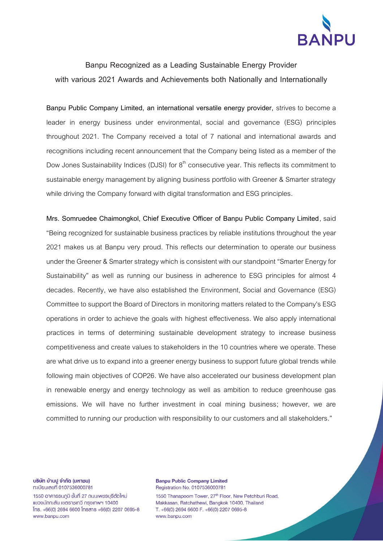

## **Banpu Recognized as a Leading Sustainable Energy Provider with various 2021 Awards and Achievements both Nationally and Internationally**

**Banpu Public Company Limited, an international versatile energy provider,** strives to become a leader in energy business under environmental, social and governance (ESG) principles throughout 2021. The Company received a total of 7 national and international awards and recognitions including recent announcement that the Company being listed as a member of the Dow Jones Sustainability Indices (DJSI) for  $8<sup>th</sup>$  consecutive year. This reflects its commitment to sustainable energy management by aligning business portfolio with Greener & Smarter strategy while driving the Company forward with digital transformation and ESG principles.

**Mrs. Somruedee Chaimongkol, Chief Executive Officer of Banpu Public Company Limited**, said "Being recognized for sustainable business practices by reliable institutions throughout the year 2021 makes us at Banpu very proud. This reflects our determination to operate our business under the Greener & Smarter strategy which is consistent with our standpoint "Smarter Energy for Sustainability" as well as running our business in adherence to ESG principles for almost 4 decades. Recently, we have also established the Environment, Social and Governance (ESG) Committee to support the Board of Directors in monitoring matters related to the Company's ESG operations in order to achieve the goals with highest effectiveness. We also apply international practices in terms of determining sustainable development strategy to increase business competitiveness and create values to stakeholders in the 10 countries where we operate. These are what drive us to expand into a greener energy business to support future global trends while following main objectives of COP26. We have also accelerated our business development plan in renewable energy and energy technology as well as ambition to reduce greenhouse gas emissions. We will have no further investment in coal mining business; however, we are committed to running our production with responsibility to our customers and all stakeholders."

บริษัท บ้านปู จำกัด (มหาชน) ทะเบียนเลขที่ 0107536000781

1550 อาคารธนภูมิ ชั้นที่ 27 ถนนเพชรบุรีตัดใหม่ แขวงมักกะสัน เขตราชเทวี กรุงเทพฯ 10400  $\text{Ins. } +66(0)$  2694 6600  $\text{Insans } +66(0)$  2207 0695-8 www.banpu.com

**Banpu Public Company Limited** Registration No. 0107536000781

1550 Thanapoom Tower, 27<sup>th</sup> Floor, New Petchburi Road, Makkasan, Ratchathewi, Bangkok 10400, Thailand T. +66(0) 2694 6600 F. +66(0) 2207 0695-8 www.banpu.com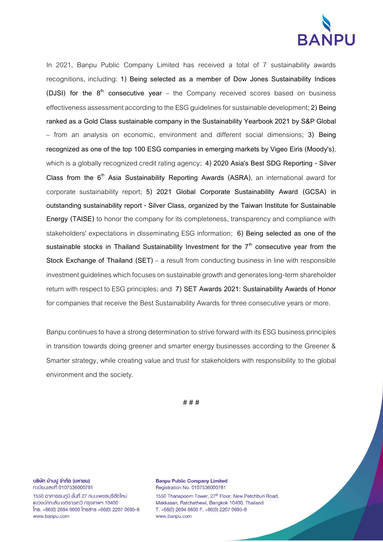

In 2021, Banpu Public Company Limited has received a total of 7 sustainability awards recognitions, including: **1) Being selected as a member of Dow Jones Sustainability Indices (DJSI) for the 8th consecutive year** – the Company received scores based on business effectiveness assessment according to the ESG guidelines for sustainable development;**2) Being ranked as a Gold Class sustainable company in the Sustainability Yearbook 2021 by S&P Global** – from an analysis on economic, environment and different social dimensions; **3) Being recognized as one of the top 100 ESG companies in emerging markets by Vigeo Eiris (Moody's)**, which is a globally recognized credit rating agency; **4) 2020 Asia's Best SDG Reporting - Silver Class from the 6th Asia Sustainability Reporting Awards (ASRA)**, an international award for corporate sustainability report; **5) 2021 Global Corporate Sustainability Award (GCSA) in outstanding sustainability report - Silver Class, organized by the Taiwan Institute for Sustainable Energy (TAISE)** to honor the company for its completeness, transparency and compliance with stakeholders' expectations in disseminating ESG information; **6) Being selected as one of the sustainable stocks in Thailand Sustainability Investment for the 7th consecutive year from the Stock Exchange of Thailand (SET)** – a result from conducting business in line with responsible investment guidelines which focuses on sustainable growth and generates long-term shareholder return with respect to ESG principles; and **7) SET Awards 2021: Sustainability Awards of Honor** for companies that receive the Best Sustainability Awards for three consecutive years or more.

Banpu continues to have a strong determination to strive forward with its ESG business principles in transition towards doing greener and smarter energy businesses according to the Greener & Smarter strategy, while creating value and trust for stakeholders with responsibility to the global environment and the society.

**# # #**

บริษัท บ้านปู จำกัด (มหาชน) ทะเบียนเลขที่ 0107536000781

1550 อาคารธนภูมิ ชั้นที่ 27 ถนนเพชรบุรีตัดใหม่ แขวงมักกะสัน เขตราชเทวี กรุงเทพฯ 10400  $\text{Ins. } +66(0)$  2694 6600  $\text{Insans } +66(0)$  2207 0695-8 www.banpu.com

**Banpu Public Company Limited** Registration No. 0107536000781

1550 Thanapoom Tower, 27<sup>th</sup> Floor, New Petchburi Road, Makkasan, Ratchathewi, Bangkok 10400, Thailand T. +66(0) 2694 6600 F. +66(0) 2207 0695-8 www.banpu.com